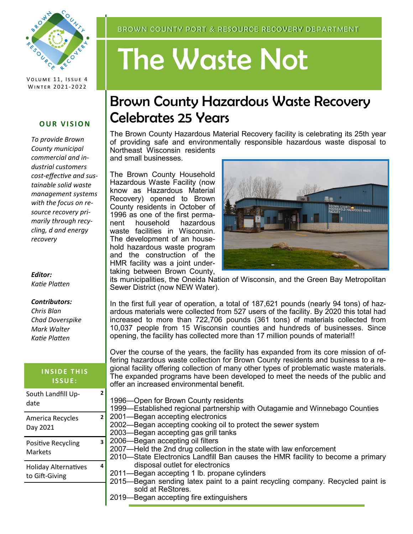

VOLUME 11, ISSUE 4 WINTER 2021-2022

## **OUR VISION**

*To provide Brown County municipal commercial and industrial customers cost-effective and sustainable solid waste management systems with the focus on resource recovery primarily through recycling, d and energy recovery*

*Editor: Katie Platten*

## *Contributors:*

*Chris Blan Chad Doverspike Mark Walter Katie Platten*

| <b>INSIDE THIS</b><br><b>ISSUE:</b>           |              | gional facility offer<br>The expanded pro<br>offer an increased<br>1996-Open for B<br>1999-Established<br>2001-Began acco<br>2002-Began acc<br>2003-Began acco<br>2006-Began acco<br>2007-Held the 2r<br>2010-State Elect<br>disposal ou<br>2011-Began acco<br>2015-Began sen<br>sold at ReS<br>-Bagan acc |
|-----------------------------------------------|--------------|------------------------------------------------------------------------------------------------------------------------------------------------------------------------------------------------------------------------------------------------------------------------------------------------------------|
| South Landfill Up-<br>date                    | 2            |                                                                                                                                                                                                                                                                                                            |
| America Recycles<br>Day 2021                  | $\mathbf{z}$ |                                                                                                                                                                                                                                                                                                            |
| Positive Recycling<br><b>Markets</b>          | 3            |                                                                                                                                                                                                                                                                                                            |
| <b>Holiday Alternatives</b><br>to Gift-Giving | 4            |                                                                                                                                                                                                                                                                                                            |
|                                               |              |                                                                                                                                                                                                                                                                                                            |

# The Waste Not

# Brown County Hazardous Waste Recovery Celebrates 25 Years

The Brown County Hazardous Material Recovery facility is celebrating its 25th year of providing safe and environmentally responsible hazardous waste disposal to Northeast Wisconsin residents

and small businesses.

The Brown County Household Hazardous Waste Facility (now know as Hazardous Material Recovery) opened to Brown County residents in October of 1996 as one of the first permanent household hazardous waste facilities in Wisconsin. The development of an household hazardous waste program and the construction of the HMR facility was a joint undertaking between Brown County,



its municipalities, the Oneida Nation of Wisconsin, and the Green Bay Metropolitan Sewer District (now NEW Water).

In the first full year of operation, a total of 187,621 pounds (nearly 94 tons) of hazardous materials were collected from 527 users of the facility. By 2020 this total had increased to more than 722,706 pounds (361 tons) of materials collected from 10,037 people from 15 Wisconsin counties and hundreds of businesses. Since opening, the facility has collected more than 17 million pounds of material!!

Over the course of the years, the facility has expanded from its core mission of offering hazardous waste collection for Brown County residents and business to a reing collection of many other types of problematic waste materials. grams have been developed to meet the needs of the public and environmental benefit.

rown County residents 1 regional partnership with Outagamie and Winnebago Counties epting electronics epting cooking oil to protect the sewer system epting gas grill tanks epting oil filters od drug collection in the state with law enforcement ronics Landfill Ban causes the HMR facility to become a primary tlet for electronics epting 1 lb. propane cylinders ding latex paint to a paint recycling company. Recycled paint is Stores. Began accepting fire extinguishers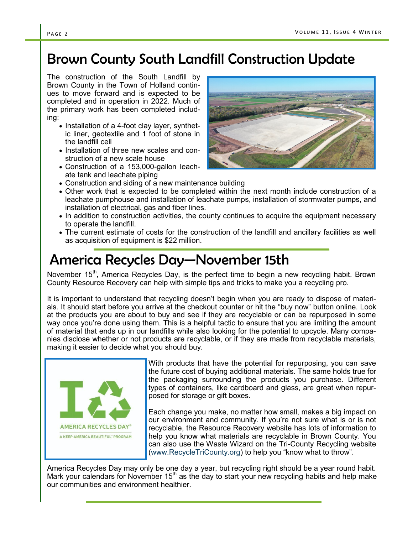# Brown County South Landfill Construction Update

The construction of the South Landfill by Brown County in the Town of Holland continues to move forward and is expected to be completed and in operation in 2022. Much of the primary work has been completed including:

- Installation of a 4-foot clay layer, synthetic liner, geotextile and 1 foot of stone in the landfill cell
- Installation of three new scales and construction of a new scale house
- Construction of a 153,000-gallon leachate tank and leachate piping
- Construction and siding of a new maintenance building
- Other work that is expected to be completed within the next month include construction of a leachate pumphouse and installation of leachate pumps, installation of stormwater pumps, and installation of electrical, gas and fiber lines.
- In addition to construction activities, the county continues to acquire the equipment necessary to operate the landfill.
- The current estimate of costs for the construction of the landfill and ancillary facilities as well as acquisition of equipment is \$22 million.

# America Recycles Day—November 15th

November 15<sup>th</sup>, America Recycles Day, is the perfect time to begin a new recycling habit. Brown County Resource Recovery can help with simple tips and tricks to make you a recycling pro.

It is important to understand that recycling doesn't begin when you are ready to dispose of materials. It should start before you arrive at the checkout counter or hit the "buy now" button online. Look at the products you are about to buy and see if they are recyclable or can be repurposed in some way once you're done using them. This is a helpful tactic to ensure that you are limiting the amount of material that ends up in our landfills while also looking for the potential to upcycle. Many companies disclose whether or not products are recyclable, or if they are made from recyclable materials, making it easier to decide what you should buy.



With products that have the potential for repurposing, you can save the future cost of buying additional materials. The same holds true for the packaging surrounding the products you purchase. Different types of containers, like cardboard and glass, are great when repurposed for storage or gift boxes.

Each change you make, no matter how small, makes a big impact on our environment and community. If you're not sure what is or is not recyclable, the Resource Recovery website has lots of information to help you know what materials are recyclable in Brown County. You can also use the Waste Wizard on the Tri-County Recycling website ([www.RecycleTriCounty.org\)](http://www.tricountyrecycling.org) to help you "know what to throw".

America Recycles Day may only be one day a year, but recycling right should be a year round habit. Mark your calendars for November  $15<sup>th</sup>$  as the day to start your new recycling habits and help make our communities and environment healthier.

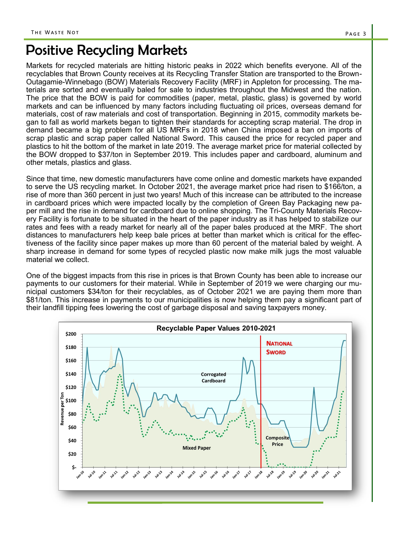## Positive Recycling Markets

Markets for recycled materials are hitting historic peaks in 2022 which benefits everyone. All of the recyclables that Brown County receives at its Recycling Transfer Station are transported to the Brown-Outagamie-Winnebago (BOW) Materials Recovery Facility (MRF) in Appleton for processing. The materials are sorted and eventually baled for sale to industries throughout the Midwest and the nation. The price that the BOW is paid for commodities (paper, metal, plastic, glass) is governed by world markets and can be influenced by many factors including fluctuating oil prices, overseas demand for materials, cost of raw materials and cost of transportation. Beginning in 2015, commodity markets began to fall as world markets began to tighten their standards for accepting scrap material. The drop in demand became a big problem for all US MRFs in 2018 when China imposed a ban on imports of scrap plastic and scrap paper called National Sword. This caused the price for recycled paper and plastics to hit the bottom of the market in late 2019. The average market price for material collected by the BOW dropped to \$37/ton in September 2019. This includes paper and cardboard, aluminum and other metals, plastics and glass.

Since that time, new domestic manufacturers have come online and domestic markets have expanded to serve the US recycling market. In October 2021, the average market price had risen to \$166/ton, a rise of more than 360 percent in just two years! Much of this increase can be attributed to the increase in cardboard prices which were impacted locally by the completion of Green Bay Packaging new paper mill and the rise in demand for cardboard due to online shopping. The Tri-County Materials Recovery Facility is fortunate to be situated in the heart of the paper industry as it has helped to stabilize our rates and fees with a ready market for nearly all of the paper bales produced at the MRF. The short distances to manufacturers help keep bale prices at better than market which is critical for the effectiveness of the facility since paper makes up more than 60 percent of the material baled by weight. A sharp increase in demand for some types of recycled plastic now make milk jugs the most valuable material we collect.

One of the biggest impacts from this rise in prices is that Brown County has been able to increase our payments to our customers for their material. While in September of 2019 we were charging our municipal customers \$34/ton for their recyclables, as of October 2021 we are paying them more than \$81/ton. This increase in payments to our municipalities is now helping them pay a significant part of their landfill tipping fees lowering the cost of garbage disposal and saving taxpayers money.